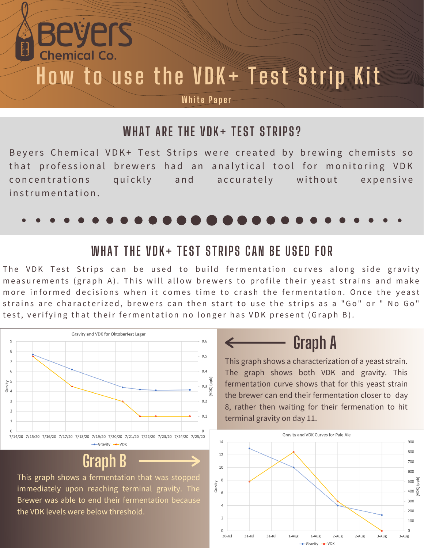# **How to use the VDK+ Test Strip Kit**

#### **White Paper**

#### **WHAT ARE THE VDK+ TEST STRIPS?**

Beyers Chemical VDK+ Test Strips were created by brewing chemists so that professional brewers had an analytical tool for monitoring VDK concentrations quickly and accurately without expensive  $in$  strumentation



#### **WHAT THE VDK+ TEST STRIPS CAN BE USED FOR**

The VDK Test Strips can be used to build fermentation curves along side gravity measurements (graph A). This will allow brewers to profile their yeast strains and make more informed decisions when it comes time to crash the fermentation. Once the yeast strains are characterized, brewers can then start to use the strips as a "Go" or " No Go" test, verifying that their fermentation no longer has VDK present (Graph B).



Bevers

Chemical Co.

### **Graph B**

This graph shows a fermentation that was stopped immediately upon reaching terminal gravity. The Brewer was able to end their fermentation because the VDK levels were below threshold.

## **Graph A**

This graph shows a characterization of a yeast strain. The graph shows both VDK and gravity. This fermentation curve shows that for this yeast strain the brewer can end their fermentation closer to day 8, rather then waiting for their fermenation to hit terminal gravity on day 11.